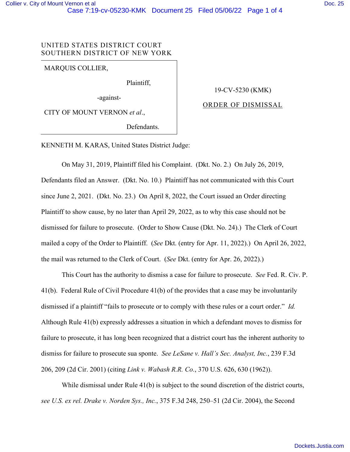# UNITED STATES DISTRICT COURT SOUTHERN DISTRICT OF NEW YORK

MARQUIS COLLIER,

Plaintiff,

-against-

CITY OF MOUNT VERNON *et al*.,

Defendants.

### 19-CV-5230 (KMK)

## ORDER OF DISMISSAL

KENNETH M. KARAS, United States District Judge:

 On May 31, 2019, Plaintiff filed his Complaint. (Dkt. No. 2.) On July 26, 2019, Defendants filed an Answer. (Dkt. No. 10.) Plaintiff has not communicated with this Court since June 2, 2021. (Dkt. No. 23.) On April 8, 2022, the Court issued an Order directing Plaintiff to show cause, by no later than April 29, 2022, as to why this case should not be dismissed for failure to prosecute. (Order to Show Cause (Dkt. No. 24).) The Clerk of Court mailed a copy of the Order to Plaintiff. (*See* Dkt. (entry for Apr. 11, 2022).) On April 26, 2022, the mail was returned to the Clerk of Court. (*See* Dkt. (entry for Apr. 26, 2022).)

This Court has the authority to dismiss a case for failure to prosecute. *See* Fed. R. Civ. P. 41(b). Federal Rule of Civil Procedure 41(b) of the provides that a case may be involuntarily dismissed if a plaintiff "fails to prosecute or to comply with these rules or a court order." *Id.*  Although Rule 41(b) expressly addresses a situation in which a defendant moves to dismiss for failure to prosecute, it has long been recognized that a district court has the inherent authority to dismiss for failure to prosecute sua sponte. *See LeSane v. Hall's Sec. Analyst, Inc.*, 239 F.3d 206, 209 (2d Cir. 2001) (citing *Link v. Wabash R.R. Co.*, 370 U.S. 626, 630 (1962)).

While dismissal under Rule 41(b) is subject to the sound discretion of the district courts, *see U.S. ex rel. Drake v. Norden Sys., Inc.*, 375 F.3d 248, 250–51 (2d Cir. 2004), the Second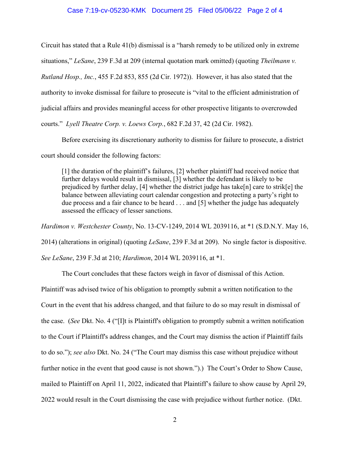#### Case 7:19-cv-05230-KMK Document 25 Filed 05/06/22 Page 2 of 4

Circuit has stated that a Rule 41(b) dismissal is a "harsh remedy to be utilized only in extreme situations," *LeSane*, 239 F.3d at 209 (internal quotation mark omitted) (quoting *Theilmann v. Rutland Hosp., Inc.*, 455 F.2d 853, 855 (2d Cir. 1972)). However, it has also stated that the authority to invoke dismissal for failure to prosecute is "vital to the efficient administration of judicial affairs and provides meaningful access for other prospective litigants to overcrowded courts." *Lyell Theatre Corp. v. Loews Corp.*, 682 F.2d 37, 42 (2d Cir. 1982).

Before exercising its discretionary authority to dismiss for failure to prosecute, a district court should consider the following factors:

[1] the duration of the plaintiff's failures, [2] whether plaintiff had received notice that further delays would result in dismissal, [3] whether the defendant is likely to be prejudiced by further delay, [4] whether the district judge has take[n] care to strik[e] the balance between alleviating court calendar congestion and protecting a party's right to due process and a fair chance to be heard . . . and [5] whether the judge has adequately assessed the efficacy of lesser sanctions.

*Hardimon v. Westchester County*, No. 13-CV-1249, 2014 WL 2039116, at \*1 (S.D.N.Y. May 16, 2014) (alterations in original) (quoting *LeSane*, 239 F.3d at 209). No single factor is dispositive. *See LeSane*, 239 F.3d at 210; *Hardimon*, 2014 WL 2039116, at \*1.

The Court concludes that these factors weigh in favor of dismissal of this Action.

Plaintiff was advised twice of his obligation to promptly submit a written notification to the Court in the event that his address changed, and that failure to do so may result in dismissal of the case. (*See* Dkt. No. 4 ("[I]t is Plaintiff's obligation to promptly submit a written notification to the Court if Plaintiff's address changes, and the Court may dismiss the action if Plaintiff fails to do so."); *see also* Dkt. No. 24 ("The Court may dismiss this case without prejudice without further notice in the event that good cause is not shown.").) The Court's Order to Show Cause, mailed to Plaintiff on April 11, 2022, indicated that Plaintiff's failure to show cause by April 29, 2022 would result in the Court dismissing the case with prejudice without further notice. (Dkt.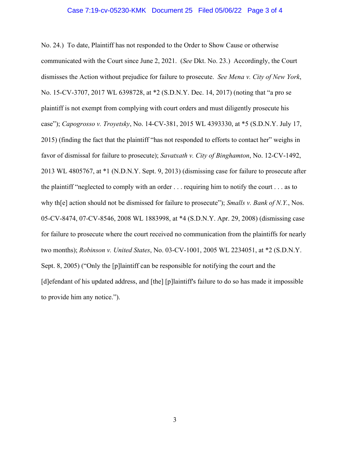#### Case 7:19-cv-05230-KMK Document 25 Filed 05/06/22 Page 3 of 4

No. 24.) To date, Plaintiff has not responded to the Order to Show Cause or otherwise communicated with the Court since June 2, 2021. (*See* Dkt. No. 23.) Accordingly, the Court dismisses the Action without prejudice for failure to prosecute. *See Mena v. City of New York*, No. 15-CV-3707, 2017 WL 6398728, at \*2 (S.D.N.Y. Dec. 14, 2017) (noting that "a pro se plaintiff is not exempt from complying with court orders and must diligently prosecute his case"); *Capogrosso v. Troyetsky*, No. 14-CV-381, 2015 WL 4393330, at \*5 (S.D.N.Y. July 17, 2015) (finding the fact that the plaintiff "has not responded to efforts to contact her" weighs in favor of dismissal for failure to prosecute); *Savatxath v. City of Binghamton*, No. 12-CV-1492, 2013 WL 4805767, at \*1 (N.D.N.Y. Sept. 9, 2013) (dismissing case for failure to prosecute after the plaintiff "neglected to comply with an order . . . requiring him to notify the court . . . as to why th[e] action should not be dismissed for failure to prosecute"); *Smalls v. Bank of N.Y.*, Nos. 05-CV-8474, 07-CV-8546, 2008 WL 1883998, at \*4 (S.D.N.Y. Apr. 29, 2008) (dismissing case for failure to prosecute where the court received no communication from the plaintiffs for nearly two months); *Robinson v. United States*, No. 03-CV-1001, 2005 WL 2234051, at \*2 (S.D.N.Y. Sept. 8, 2005) ("Only the [p]laintiff can be responsible for notifying the court and the [d]efendant of his updated address, and [the] [p]laintiff's failure to do so has made it impossible to provide him any notice.").